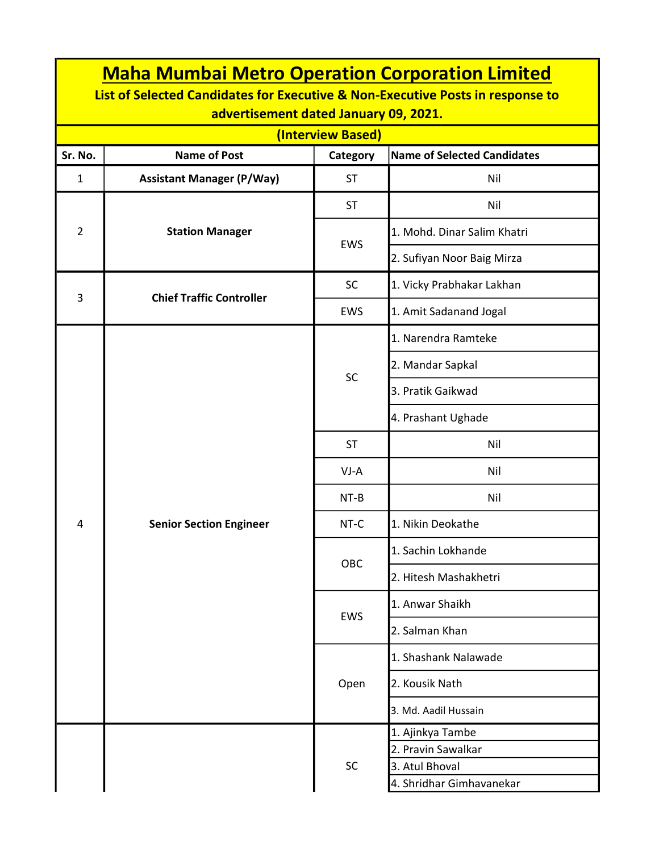| <b>Maha Mumbai Metro Operation Corporation Limited</b><br>List of Selected Candidates for Executive & Non-Executive Posts in response to<br>advertisement dated January 09, 2021. |                                  |            |                                            |  |  |  |  |  |
|-----------------------------------------------------------------------------------------------------------------------------------------------------------------------------------|----------------------------------|------------|--------------------------------------------|--|--|--|--|--|
| (Interview Based)                                                                                                                                                                 |                                  |            |                                            |  |  |  |  |  |
| Sr. No.                                                                                                                                                                           | <b>Name of Post</b>              | Category   | <b>Name of Selected Candidates</b>         |  |  |  |  |  |
| $\mathbf{1}$                                                                                                                                                                      | <b>Assistant Manager (P/Way)</b> | <b>ST</b>  | Nil                                        |  |  |  |  |  |
| $\overline{2}$                                                                                                                                                                    | <b>Station Manager</b>           | <b>ST</b>  | Nil                                        |  |  |  |  |  |
|                                                                                                                                                                                   |                                  | <b>EWS</b> | 1. Mohd. Dinar Salim Khatri                |  |  |  |  |  |
|                                                                                                                                                                                   |                                  |            | 2. Sufiyan Noor Baig Mirza                 |  |  |  |  |  |
| 3                                                                                                                                                                                 |                                  | <b>SC</b>  | 1. Vicky Prabhakar Lakhan                  |  |  |  |  |  |
|                                                                                                                                                                                   | <b>Chief Traffic Controller</b>  | <b>EWS</b> | 1. Amit Sadanand Jogal                     |  |  |  |  |  |
|                                                                                                                                                                                   |                                  |            | 1. Narendra Ramteke                        |  |  |  |  |  |
|                                                                                                                                                                                   |                                  | SC         | 2. Mandar Sapkal                           |  |  |  |  |  |
|                                                                                                                                                                                   |                                  |            | 3. Pratik Gaikwad                          |  |  |  |  |  |
|                                                                                                                                                                                   |                                  |            | 4. Prashant Ughade                         |  |  |  |  |  |
|                                                                                                                                                                                   | <b>Senior Section Engineer</b>   | <b>ST</b>  | Nil                                        |  |  |  |  |  |
|                                                                                                                                                                                   |                                  | $VI-A$     | Nil                                        |  |  |  |  |  |
|                                                                                                                                                                                   |                                  | $NT-B$     | Nil                                        |  |  |  |  |  |
| 4                                                                                                                                                                                 |                                  | NT-C       | 1. Nikin Deokathe                          |  |  |  |  |  |
|                                                                                                                                                                                   |                                  | OBC        | 1. Sachin Lokhande                         |  |  |  |  |  |
|                                                                                                                                                                                   |                                  |            | 2. Hitesh Mashakhetri                      |  |  |  |  |  |
|                                                                                                                                                                                   |                                  | <b>EWS</b> | 1. Anwar Shaikh                            |  |  |  |  |  |
|                                                                                                                                                                                   |                                  |            | 2. Salman Khan                             |  |  |  |  |  |
|                                                                                                                                                                                   |                                  | Open       | 1. Shashank Nalawade                       |  |  |  |  |  |
|                                                                                                                                                                                   |                                  |            | 2. Kousik Nath                             |  |  |  |  |  |
|                                                                                                                                                                                   |                                  |            | 3. Md. Aadil Hussain                       |  |  |  |  |  |
|                                                                                                                                                                                   |                                  | <b>SC</b>  | 1. Ajinkya Tambe                           |  |  |  |  |  |
|                                                                                                                                                                                   |                                  |            | 2. Pravin Sawalkar                         |  |  |  |  |  |
|                                                                                                                                                                                   |                                  |            | 3. Atul Bhoval<br>4. Shridhar Gimhavanekar |  |  |  |  |  |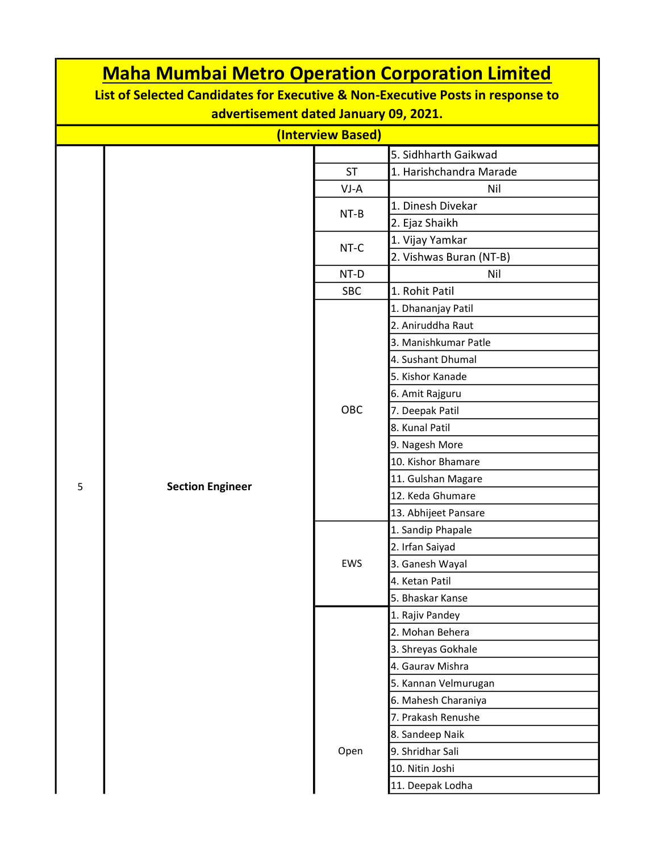| <b>Maha Mumbai Metro Operation Corporation Limited</b><br>List of Selected Candidates for Executive & Non-Executive Posts in response to<br>advertisement dated January 09, 2021. |                         |            |                         |  |  |  |  |
|-----------------------------------------------------------------------------------------------------------------------------------------------------------------------------------|-------------------------|------------|-------------------------|--|--|--|--|
| (Interview Based)                                                                                                                                                                 |                         |            |                         |  |  |  |  |
| 5. Sidhharth Gaikwad                                                                                                                                                              |                         |            |                         |  |  |  |  |
|                                                                                                                                                                                   |                         | <b>ST</b>  | 1. Harishchandra Marade |  |  |  |  |
|                                                                                                                                                                                   |                         | VJ-A       | Nil                     |  |  |  |  |
|                                                                                                                                                                                   |                         |            | 1. Dinesh Divekar       |  |  |  |  |
|                                                                                                                                                                                   |                         | $NT-B$     | 2. Ejaz Shaikh          |  |  |  |  |
|                                                                                                                                                                                   |                         |            | 1. Vijay Yamkar         |  |  |  |  |
|                                                                                                                                                                                   |                         | NT-C       | 2. Vishwas Buran (NT-B) |  |  |  |  |
|                                                                                                                                                                                   |                         | NT-D       | Nil                     |  |  |  |  |
|                                                                                                                                                                                   |                         | <b>SBC</b> | 1. Rohit Patil          |  |  |  |  |
|                                                                                                                                                                                   |                         |            | 1. Dhananjay Patil      |  |  |  |  |
|                                                                                                                                                                                   |                         |            | 2. Aniruddha Raut       |  |  |  |  |
|                                                                                                                                                                                   |                         |            | 3. Manishkumar Patle    |  |  |  |  |
|                                                                                                                                                                                   |                         |            | 4. Sushant Dhumal       |  |  |  |  |
|                                                                                                                                                                                   |                         |            | 5. Kishor Kanade        |  |  |  |  |
|                                                                                                                                                                                   |                         |            | 6. Amit Rajguru         |  |  |  |  |
|                                                                                                                                                                                   |                         | <b>OBC</b> | 7. Deepak Patil         |  |  |  |  |
|                                                                                                                                                                                   |                         |            | 8. Kunal Patil          |  |  |  |  |
|                                                                                                                                                                                   |                         |            | 9. Nagesh More          |  |  |  |  |
|                                                                                                                                                                                   |                         |            | 10. Kishor Bhamare      |  |  |  |  |
|                                                                                                                                                                                   |                         |            | 11. Gulshan Magare      |  |  |  |  |
| 5                                                                                                                                                                                 | <b>Section Engineer</b> |            | 12. Keda Ghumare        |  |  |  |  |
|                                                                                                                                                                                   |                         |            | 13. Abhijeet Pansare    |  |  |  |  |
|                                                                                                                                                                                   |                         |            | 1. Sandip Phapale       |  |  |  |  |
|                                                                                                                                                                                   |                         |            | 2. Irfan Saiyad         |  |  |  |  |
|                                                                                                                                                                                   |                         | EWS        | 3. Ganesh Wayal         |  |  |  |  |
|                                                                                                                                                                                   |                         |            | 4. Ketan Patil          |  |  |  |  |
|                                                                                                                                                                                   |                         |            | 5. Bhaskar Kanse        |  |  |  |  |
|                                                                                                                                                                                   |                         |            | 1. Rajiv Pandey         |  |  |  |  |
|                                                                                                                                                                                   |                         | Open       | 2. Mohan Behera         |  |  |  |  |
|                                                                                                                                                                                   |                         |            | 3. Shreyas Gokhale      |  |  |  |  |
|                                                                                                                                                                                   |                         |            | 4. Gaurav Mishra        |  |  |  |  |
|                                                                                                                                                                                   |                         |            | 5. Kannan Velmurugan    |  |  |  |  |
|                                                                                                                                                                                   |                         |            | 6. Mahesh Charaniya     |  |  |  |  |
|                                                                                                                                                                                   |                         |            | 7. Prakash Renushe      |  |  |  |  |
|                                                                                                                                                                                   |                         |            | 8. Sandeep Naik         |  |  |  |  |
|                                                                                                                                                                                   |                         |            | 9. Shridhar Sali        |  |  |  |  |
|                                                                                                                                                                                   |                         |            | 10. Nitin Joshi         |  |  |  |  |
|                                                                                                                                                                                   |                         |            | 11. Deepak Lodha        |  |  |  |  |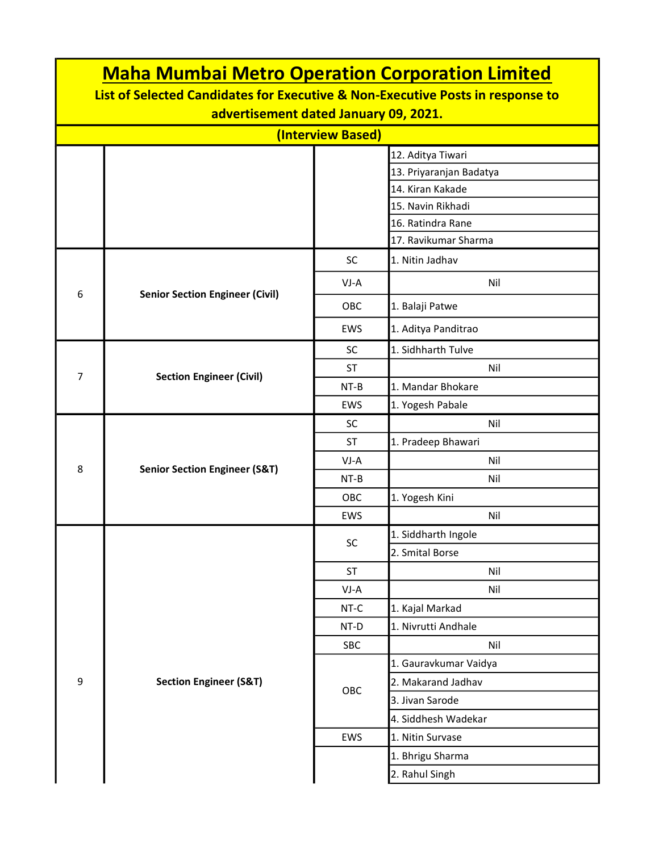| <b>Maha Mumbai Metro Operation Corporation Limited</b>                                                                  |                                          |            |                         |  |  |  |  |
|-------------------------------------------------------------------------------------------------------------------------|------------------------------------------|------------|-------------------------|--|--|--|--|
| List of Selected Candidates for Executive & Non-Executive Posts in response to<br>advertisement dated January 09, 2021. |                                          |            |                         |  |  |  |  |
| (Interview Based)                                                                                                       |                                          |            |                         |  |  |  |  |
|                                                                                                                         |                                          |            | 12. Aditya Tiwari       |  |  |  |  |
|                                                                                                                         |                                          |            | 13. Priyaranjan Badatya |  |  |  |  |
|                                                                                                                         |                                          |            | 14. Kiran Kakade        |  |  |  |  |
|                                                                                                                         |                                          |            | 15. Navin Rikhadi       |  |  |  |  |
|                                                                                                                         |                                          |            | 16. Ratindra Rane       |  |  |  |  |
|                                                                                                                         |                                          |            | 17. Ravikumar Sharma    |  |  |  |  |
|                                                                                                                         |                                          | <b>SC</b>  | 1. Nitin Jadhav         |  |  |  |  |
| 6                                                                                                                       |                                          | VJ-A       | Nil                     |  |  |  |  |
|                                                                                                                         | <b>Senior Section Engineer (Civil)</b>   | OBC        | 1. Balaji Patwe         |  |  |  |  |
|                                                                                                                         |                                          | EWS        | 1. Aditya Panditrao     |  |  |  |  |
|                                                                                                                         |                                          | <b>SC</b>  | 1. Sidhharth Tulve      |  |  |  |  |
| 7                                                                                                                       |                                          | <b>ST</b>  | Nil                     |  |  |  |  |
|                                                                                                                         | <b>Section Engineer (Civil)</b>          | $NT-B$     | 1. Mandar Bhokare       |  |  |  |  |
|                                                                                                                         |                                          | <b>EWS</b> | 1. Yogesh Pabale        |  |  |  |  |
|                                                                                                                         |                                          | <b>SC</b>  | Nil                     |  |  |  |  |
|                                                                                                                         |                                          | ST         | 1. Pradeep Bhawari      |  |  |  |  |
|                                                                                                                         |                                          | $VI-A$     | Nil                     |  |  |  |  |
| 8                                                                                                                       | <b>Senior Section Engineer (S&amp;T)</b> | NT-B       | Nil                     |  |  |  |  |
|                                                                                                                         |                                          | <b>OBC</b> | 1. Yogesh Kini          |  |  |  |  |
|                                                                                                                         |                                          | EWS        | Nil                     |  |  |  |  |
|                                                                                                                         |                                          |            | 1. Siddharth Ingole     |  |  |  |  |
|                                                                                                                         |                                          | SC         | 2. Smital Borse         |  |  |  |  |
|                                                                                                                         |                                          | <b>ST</b>  | Nil                     |  |  |  |  |
|                                                                                                                         |                                          | VJ-A       | Nil                     |  |  |  |  |
|                                                                                                                         |                                          | NT-C       | 1. Kajal Markad         |  |  |  |  |
|                                                                                                                         |                                          | NT-D       | 1. Nivrutti Andhale     |  |  |  |  |
|                                                                                                                         |                                          | SBC        | Nil                     |  |  |  |  |
|                                                                                                                         |                                          | OBC        | 1. Gauravkumar Vaidya   |  |  |  |  |
| 9                                                                                                                       | <b>Section Engineer (S&amp;T)</b>        |            | 2. Makarand Jadhav      |  |  |  |  |
|                                                                                                                         |                                          |            | 3. Jivan Sarode         |  |  |  |  |
|                                                                                                                         |                                          |            | 4. Siddhesh Wadekar     |  |  |  |  |
|                                                                                                                         |                                          | EWS        | 1. Nitin Survase        |  |  |  |  |
|                                                                                                                         |                                          |            | 1. Bhrigu Sharma        |  |  |  |  |
|                                                                                                                         |                                          |            | 2. Rahul Singh          |  |  |  |  |